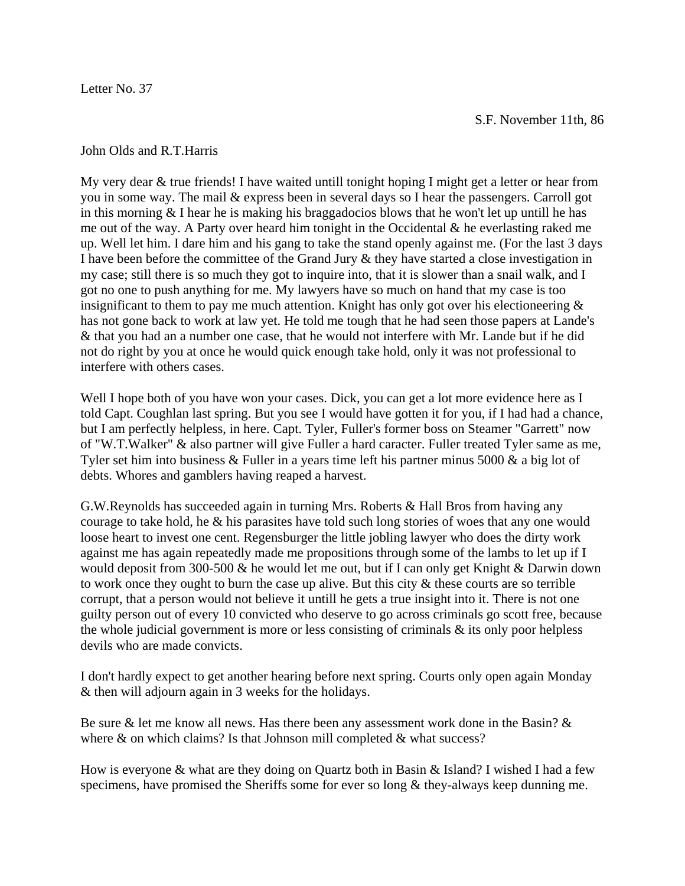Letter No. 37

John Olds and R.T.Harris

My very dear & true friends! I have waited untill tonight hoping I might get a letter or hear from you in some way. The mail & express been in several days so I hear the passengers. Carroll got in this morning  $&$  I hear he is making his braggadocios blows that he won't let up untill he has me out of the way. A Party over heard him tonight in the Occidental & he everlasting raked me up. Well let him. I dare him and his gang to take the stand openly against me. (For the last 3 days I have been before the committee of the Grand Jury & they have started a close investigation in my case; still there is so much they got to inquire into, that it is slower than a snail walk, and I got no one to push anything for me. My lawyers have so much on hand that my case is too insignificant to them to pay me much attention. Knight has only got over his electioneering  $\&$ has not gone back to work at law yet. He told me tough that he had seen those papers at Lande's & that you had an a number one case, that he would not interfere with Mr. Lande but if he did not do right by you at once he would quick enough take hold, only it was not professional to interfere with others cases.

Well I hope both of you have won your cases. Dick, you can get a lot more evidence here as I told Capt. Coughlan last spring. But you see I would have gotten it for you, if I had had a chance, but I am perfectly helpless, in here. Capt. Tyler, Fuller's former boss on Steamer "Garrett" now of "W.T.Walker" & also partner will give Fuller a hard caracter. Fuller treated Tyler same as me, Tyler set him into business & Fuller in a years time left his partner minus 5000 & a big lot of debts. Whores and gamblers having reaped a harvest.

G.W.Reynolds has succeeded again in turning Mrs. Roberts & Hall Bros from having any courage to take hold, he & his parasites have told such long stories of woes that any one would loose heart to invest one cent. Regensburger the little jobling lawyer who does the dirty work against me has again repeatedly made me propositions through some of the lambs to let up if I would deposit from 300-500 & he would let me out, but if I can only get Knight & Darwin down to work once they ought to burn the case up alive. But this city & these courts are so terrible corrupt, that a person would not believe it untill he gets a true insight into it. There is not one guilty person out of every 10 convicted who deserve to go across criminals go scott free, because the whole judicial government is more or less consisting of criminals & its only poor helpless devils who are made convicts.

I don't hardly expect to get another hearing before next spring. Courts only open again Monday & then will adjourn again in 3 weeks for the holidays.

Be sure & let me know all news. Has there been any assessment work done in the Basin?  $\&$ where  $\&$  on which claims? Is that Johnson mill completed  $\&$  what success?

How is everyone & what are they doing on Quartz both in Basin & Island? I wished I had a few specimens, have promised the Sheriffs some for ever so long & they-always keep dunning me.